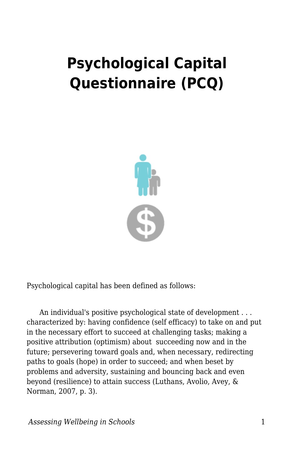## **Psychological Capital Questionnaire (PCQ)**



Psychological capital has been defined as follows:

 An individual's positive psychological state of development . . . characterized by: having confidence (self efficacy) to take on and put in the necessary effort to succeed at challenging tasks; making a positive attribution (optimism) about succeeding now and in the future; persevering toward goals and, when necessary, redirecting paths to goals (hope) in order to succeed; and when beset by problems and adversity, sustaining and bouncing back and even beyond (resilience) to attain success (Luthans, Avolio, Avey, & Norman, 2007, p. 3).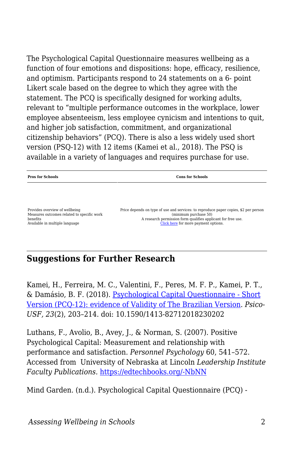The Psychological Capital Questionnaire measures wellbeing as a function of four emotions and dispositions: hope, efficacy, resilience, and optimism. Participants respond to 24 statements on a 6- point Likert scale based on the degree to which they agree with the statement. The PCQ is specifically designed for working adults, relevant to "multiple performance outcomes in the workplace, lower employee absenteeism, less employee cynicism and intentions to quit, and higher job satisfaction, commitment, and organizational citizenship behaviors" (PCQ). There is also a less widely used short version (PSQ-12) with 12 items (Kamei et al., 2018). The PSQ is available in a variety of languages and requires purchase for use.

## **Pros for Schools Cons for Schools** Provides overview of wellbeing Measures outcomes related to specific work benefits Available in multiple language Price depends on type of use and services: to reproduce paper copies, \$2 per person (minimum purchase 50) A research permission form qualifies applicant for free use. [Click here](https://www.mindgarden.com/136-psychological-capital-questionnaire) for more payment options.

## **Suggestions for Further Research**

Kamei, H., Ferreira, M. C., Valentini, F., Peres, M. F. P., Kamei, P. T., & Damásio, B. F. (2018). [Psychological Capital Questionnaire - Short](https://www.semanticscholar.org/paper/Psychological-Capital-Questionnaire-Short-Version-Kamei-Ferreira/1d8e90c661f990db3007e9bea290887f3c7139fd) [Version \(PCQ-12\): evidence of Validity of The Brazilian Version](https://www.semanticscholar.org/paper/Psychological-Capital-Questionnaire-Short-Version-Kamei-Ferreira/1d8e90c661f990db3007e9bea290887f3c7139fd). *Psico-USF, 23*(2), 203–214. doi: 10.1590/1413-82712018230202

Luthans, F., Avolio, B., Avey, J., & Norman, S. (2007). Positive Psychological Capital: Measurement and relationship with performance and satisfaction. *Personnel Psychology* 60, 541–572. Accessed from University of Nebraska at Lincoln *Leadership Institute Faculty Publications.* [https://edtechbooks.org/-NbNN](http://digitalcommons.unl.edu/leadershipfacpub/11)

Mind Garden. (n.d.). Psychological Capital Questionnaire (PCQ) -